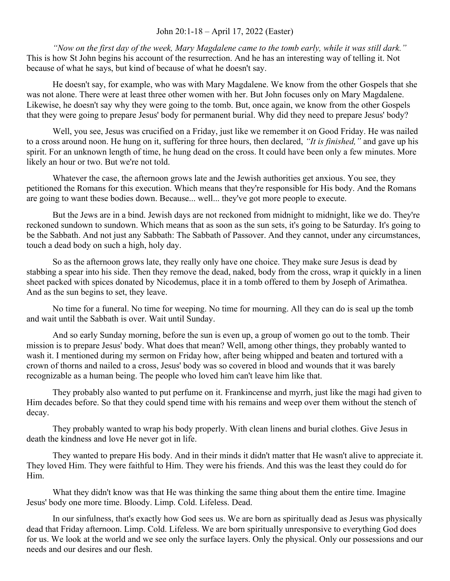## John 20:1-18 – April 17, 2022 (Easter)

*"Now on the first day of the week, Mary Magdalene came to the tomb early, while it was still dark."* This is how St John begins his account of the resurrection. And he has an interesting way of telling it. Not because of what he says, but kind of because of what he doesn't say.

He doesn't say, for example, who was with Mary Magdalene. We know from the other Gospels that she was not alone. There were at least three other women with her. But John focuses only on Mary Magdalene. Likewise, he doesn't say why they were going to the tomb. But, once again, we know from the other Gospels that they were going to prepare Jesus' body for permanent burial. Why did they need to prepare Jesus' body?

Well, you see, Jesus was crucified on a Friday, just like we remember it on Good Friday. He was nailed to a cross around noon. He hung on it, suffering for three hours, then declared, *"It is finished,"* and gave up his spirit. For an unknown length of time, he hung dead on the cross. It could have been only a few minutes. More likely an hour or two. But we're not told.

Whatever the case, the afternoon grows late and the Jewish authorities get anxious. You see, they petitioned the Romans for this execution. Which means that they're responsible for His body. And the Romans are going to want these bodies down. Because... well... they've got more people to execute.

But the Jews are in a bind. Jewish days are not reckoned from midnight to midnight, like we do. They're reckoned sundown to sundown. Which means that as soon as the sun sets, it's going to be Saturday. It's going to be the Sabbath. And not just any Sabbath: The Sabbath of Passover. And they cannot, under any circumstances, touch a dead body on such a high, holy day.

So as the afternoon grows late, they really only have one choice. They make sure Jesus is dead by stabbing a spear into his side. Then they remove the dead, naked, body from the cross, wrap it quickly in a linen sheet packed with spices donated by Nicodemus, place it in a tomb offered to them by Joseph of Arimathea. And as the sun begins to set, they leave.

No time for a funeral. No time for weeping. No time for mourning. All they can do is seal up the tomb and wait until the Sabbath is over. Wait until Sunday.

And so early Sunday morning, before the sun is even up, a group of women go out to the tomb. Their mission is to prepare Jesus' body. What does that mean? Well, among other things, they probably wanted to wash it. I mentioned during my sermon on Friday how, after being whipped and beaten and tortured with a crown of thorns and nailed to a cross, Jesus' body was so covered in blood and wounds that it was barely recognizable as a human being. The people who loved him can't leave him like that.

They probably also wanted to put perfume on it. Frankincense and myrrh, just like the magi had given to Him decades before. So that they could spend time with his remains and weep over them without the stench of decay.

They probably wanted to wrap his body properly. With clean linens and burial clothes. Give Jesus in death the kindness and love He never got in life.

They wanted to prepare His body. And in their minds it didn't matter that He wasn't alive to appreciate it. They loved Him. They were faithful to Him. They were his friends. And this was the least they could do for Him.

What they didn't know was that He was thinking the same thing about them the entire time. Imagine Jesus' body one more time. Bloody. Limp. Cold. Lifeless. Dead.

In our sinfulness, that's exactly how God sees us. We are born as spiritually dead as Jesus was physically dead that Friday afternoon. Limp. Cold. Lifeless. We are born spiritually unresponsive to everything God does for us. We look at the world and we see only the surface layers. Only the physical. Only our possessions and our needs and our desires and our flesh.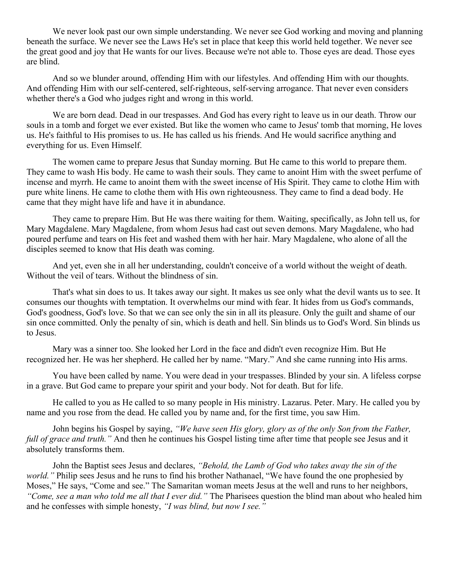We never look past our own simple understanding. We never see God working and moving and planning beneath the surface. We never see the Laws He's set in place that keep this world held together. We never see the great good and joy that He wants for our lives. Because we're not able to. Those eyes are dead. Those eyes are blind.

And so we blunder around, offending Him with our lifestyles. And offending Him with our thoughts. And offending Him with our self-centered, self-righteous, self-serving arrogance. That never even considers whether there's a God who judges right and wrong in this world.

We are born dead. Dead in our trespasses. And God has every right to leave us in our death. Throw our souls in a tomb and forget we ever existed. But like the women who came to Jesus' tomb that morning, He loves us. He's faithful to His promises to us. He has called us his friends. And He would sacrifice anything and everything for us. Even Himself.

The women came to prepare Jesus that Sunday morning. But He came to this world to prepare them. They came to wash His body. He came to wash their souls. They came to anoint Him with the sweet perfume of incense and myrrh. He came to anoint them with the sweet incense of His Spirit. They came to clothe Him with pure white linens. He came to clothe them with His own righteousness. They came to find a dead body. He came that they might have life and have it in abundance.

They came to prepare Him. But He was there waiting for them. Waiting, specifically, as John tell us, for Mary Magdalene. Mary Magdalene, from whom Jesus had cast out seven demons. Mary Magdalene, who had poured perfume and tears on His feet and washed them with her hair. Mary Magdalene, who alone of all the disciples seemed to know that His death was coming.

And yet, even she in all her understanding, couldn't conceive of a world without the weight of death. Without the veil of tears. Without the blindness of sin.

That's what sin does to us. It takes away our sight. It makes us see only what the devil wants us to see. It consumes our thoughts with temptation. It overwhelms our mind with fear. It hides from us God's commands, God's goodness, God's love. So that we can see only the sin in all its pleasure. Only the guilt and shame of our sin once committed. Only the penalty of sin, which is death and hell. Sin blinds us to God's Word. Sin blinds us to Jesus.

Mary was a sinner too. She looked her Lord in the face and didn't even recognize Him. But He recognized her. He was her shepherd. He called her by name. "Mary." And she came running into His arms.

You have been called by name. You were dead in your trespasses. Blinded by your sin. A lifeless corpse in a grave. But God came to prepare your spirit and your body. Not for death. But for life.

He called to you as He called to so many people in His ministry. Lazarus. Peter. Mary. He called you by name and you rose from the dead. He called you by name and, for the first time, you saw Him.

John begins his Gospel by saying, *"We have seen His glory, glory as of the only Son from the Father, full of grace and truth.*" And then he continues his Gospel listing time after time that people see Jesus and it absolutely transforms them.

John the Baptist sees Jesus and declares, *"Behold, the Lamb of God who takes away the sin of the world.*" Philip sees Jesus and he runs to find his brother Nathanael, "We have found the one prophesied by Moses," He says, "Come and see." The Samaritan woman meets Jesus at the well and runs to her neighbors, *"Come, see a man who told me all that I ever did."* The Pharisees question the blind man about who healed him and he confesses with simple honesty, *"I was blind, but now I see."*